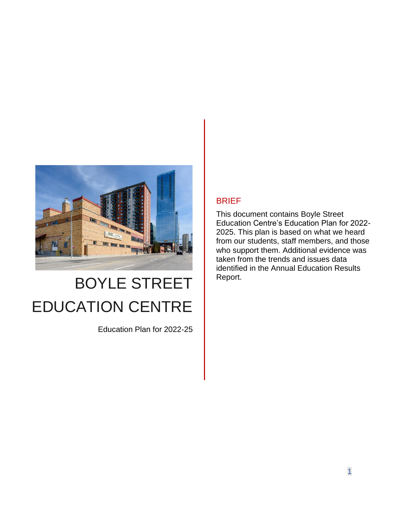

# BOYLE STREET EDUCATION CENTRE

Education Plan for 2022-25

# BRIEF

This document contains Boyle Street Education Centre's Education Plan for 2022- 2025. This plan is based on what we heard from our students, staff members, and those who support them. Additional evidence was taken from the trends and issues data identified in the Annual Education Results Report.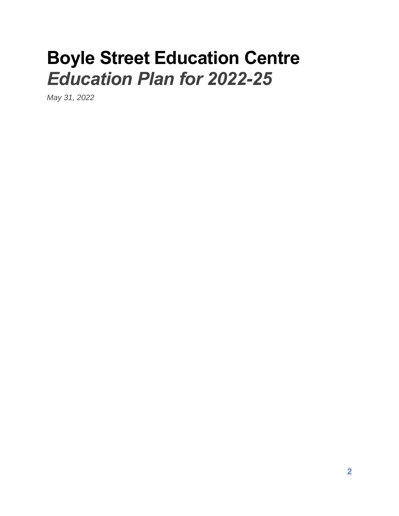# **Boyle Street Education Centre** *Education Plan for 2022-25*

*May 31, 2022*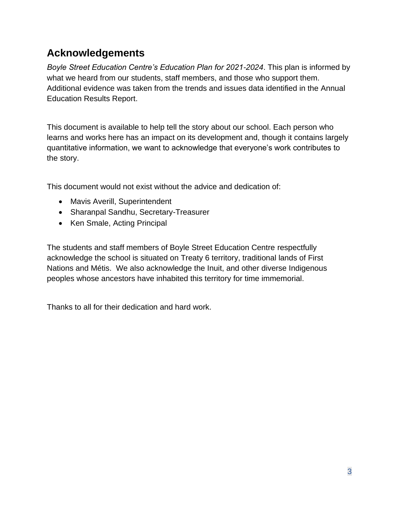# <span id="page-2-0"></span>**Acknowledgements**

*Boyle Street Education Centre's Education Plan for 2021-2024*. This plan is informed by what we heard from our students, staff members, and those who support them. Additional evidence was taken from the trends and issues data identified in the Annual Education Results Report.

This document is available to help tell the story about our school. Each person who learns and works here has an impact on its development and, though it contains largely quantitative information, we want to acknowledge that everyone's work contributes to the story.

This document would not exist without the advice and dedication of:

- Mavis Averill, Superintendent
- Sharanpal Sandhu, Secretary-Treasurer
- Ken Smale, Acting Principal

The students and staff members of Boyle Street Education Centre respectfully acknowledge the school is situated on Treaty 6 territory, traditional lands of First Nations and Métis. We also acknowledge the Inuit, and other diverse Indigenous peoples whose ancestors have inhabited this territory for time immemorial.

Thanks to all for their dedication and hard work.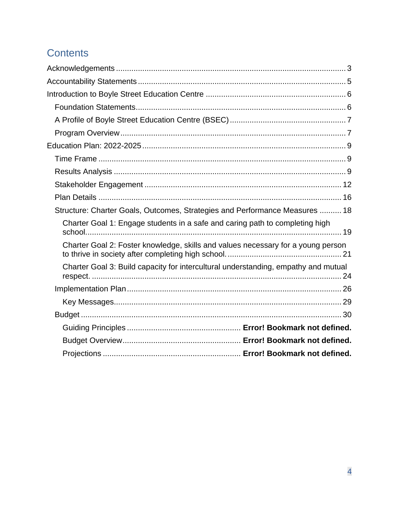# **Contents**

| Structure: Charter Goals, Outcomes, Strategies and Performance Measures  18        |
|------------------------------------------------------------------------------------|
| Charter Goal 1: Engage students in a safe and caring path to completing high       |
| Charter Goal 2: Foster knowledge, skills and values necessary for a young person   |
| Charter Goal 3: Build capacity for intercultural understanding, empathy and mutual |
|                                                                                    |
|                                                                                    |
|                                                                                    |
|                                                                                    |
|                                                                                    |
|                                                                                    |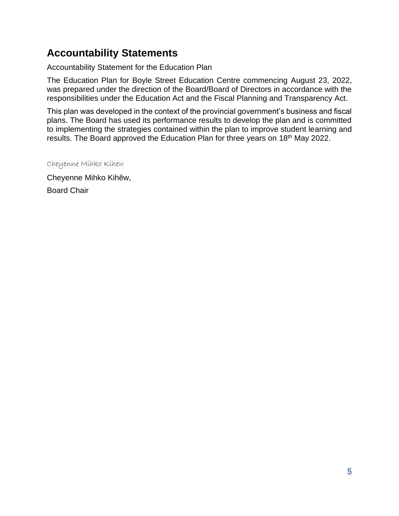# <span id="page-4-0"></span>**Accountability Statements**

Accountability Statement for the Education Plan

The Education Plan for Boyle Street Education Centre commencing August 23, 2022, was prepared under the direction of the Board/Board of Directors in accordance with the responsibilities under the Education Act and the Fiscal Planning and Transparency Act.

This plan was developed in the context of the provincial government's business and fiscal plans. The Board has used its performance results to develop the plan and is committed to implementing the strategies contained within the plan to improve student learning and results. The Board approved the Education Plan for three years on 18<sup>th</sup> May 2022.

Cheyenne Mihko Kihew

Cheyenne Mihko Kihêw,

Board Chair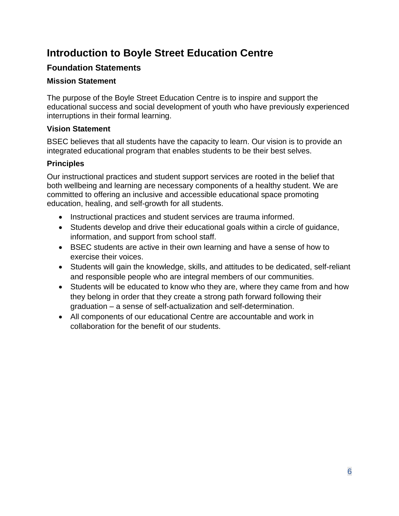# <span id="page-5-0"></span>**Introduction to Boyle Street Education Centre**

# <span id="page-5-1"></span>**Foundation Statements**

# **Mission Statement**

The purpose of the Boyle Street Education Centre is to inspire and support the educational success and social development of youth who have previously experienced interruptions in their formal learning.

# **Vision Statement**

BSEC believes that all students have the capacity to learn. Our vision is to provide an integrated educational program that enables students to be their best selves.

# **Principles**

Our instructional practices and student support services are rooted in the belief that both wellbeing and learning are necessary components of a healthy student. We are committed to offering an inclusive and accessible educational space promoting education, healing, and self-growth for all students.

- Instructional practices and student services are trauma informed.
- Students develop and drive their educational goals within a circle of guidance, information, and support from school staff.
- BSEC students are active in their own learning and have a sense of how to exercise their voices.
- Students will gain the knowledge, skills, and attitudes to be dedicated, self-reliant and responsible people who are integral members of our communities.
- Students will be educated to know who they are, where they came from and how they belong in order that they create a strong path forward following their graduation – a sense of self-actualization and self-determination.
- All components of our educational Centre are accountable and work in collaboration for the benefit of our students.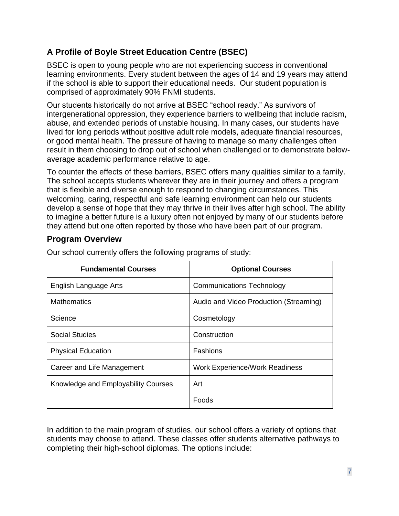# <span id="page-6-0"></span>**A Profile of Boyle Street Education Centre (BSEC)**

BSEC is open to young people who are not experiencing success in conventional learning environments. Every student between the ages of 14 and 19 years may attend if the school is able to support their educational needs. Our student population is comprised of approximately 90% FNMI students.

Our students historically do not arrive at BSEC "school ready." As survivors of intergenerational oppression, they experience barriers to wellbeing that include racism, abuse, and extended periods of unstable housing. In many cases, our students have lived for long periods without positive adult role models, adequate financial resources, or good mental health. The pressure of having to manage so many challenges often result in them choosing to drop out of school when challenged or to demonstrate belowaverage academic performance relative to age.

To counter the effects of these barriers, BSEC offers many qualities similar to a family. The school accepts students wherever they are in their journey and offers a program that is flexible and diverse enough to respond to changing circumstances. This welcoming, caring, respectful and safe learning environment can help our students develop a sense of hope that they may thrive in their lives after high school. The ability to imagine a better future is a luxury often not enjoyed by many of our students before they attend but one often reported by those who have been part of our program.

# <span id="page-6-1"></span>**Program Overview**

| <b>Fundamental Courses</b>          | <b>Optional Courses</b>                |
|-------------------------------------|----------------------------------------|
| English Language Arts               | <b>Communications Technology</b>       |
| <b>Mathematics</b>                  | Audio and Video Production (Streaming) |
| Science                             | Cosmetology                            |
| Social Studies                      | Construction                           |
| <b>Physical Education</b>           | <b>Fashions</b>                        |
| Career and Life Management          | <b>Work Experience/Work Readiness</b>  |
| Knowledge and Employability Courses | Art                                    |
|                                     | Foods                                  |

Our school currently offers the following programs of study:

In addition to the main program of studies, our school offers a variety of options that students may choose to attend. These classes offer students alternative pathways to completing their high-school diplomas. The options include: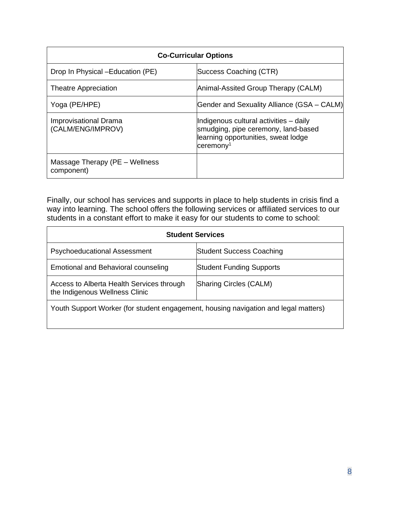| <b>Co-Curricular Options</b>                 |                                                                                                                                                  |  |  |  |  |  |
|----------------------------------------------|--------------------------------------------------------------------------------------------------------------------------------------------------|--|--|--|--|--|
| Drop In Physical -Education (PE)             | Success Coaching (CTR)                                                                                                                           |  |  |  |  |  |
| <b>Theatre Appreciation</b>                  | Animal-Assited Group Therapy (CALM)                                                                                                              |  |  |  |  |  |
| Yoga (PE/HPE)                                | <b>Gender and Sexuality Alliance (GSA - CALM)</b>                                                                                                |  |  |  |  |  |
| Improvisational Drama<br>(CALM/ENG/IMPROV)   | Indigenous cultural activities - daily<br>smudging, pipe ceremony, land-based<br>learning opportunities, sweat lodge<br>$c$ eremony <sup>1</sup> |  |  |  |  |  |
| Massage Therapy (PE – Wellness<br>component) |                                                                                                                                                  |  |  |  |  |  |

Finally, our school has services and supports in place to help students in crisis find a way into learning. The school offers the following services or affiliated services to our students in a constant effort to make it easy for our students to come to school:

| <b>Student Services</b>                                                             |                                 |  |  |  |  |  |  |  |
|-------------------------------------------------------------------------------------|---------------------------------|--|--|--|--|--|--|--|
| <b>Psychoeducational Assessment</b>                                                 | <b>Student Success Coaching</b> |  |  |  |  |  |  |  |
| Emotional and Behavioral counseling                                                 | <b>Student Funding Supports</b> |  |  |  |  |  |  |  |
| Access to Alberta Health Services through<br>the Indigenous Wellness Clinic         | Sharing Circles (CALM)          |  |  |  |  |  |  |  |
| Youth Support Worker (for student engagement, housing navigation and legal matters) |                                 |  |  |  |  |  |  |  |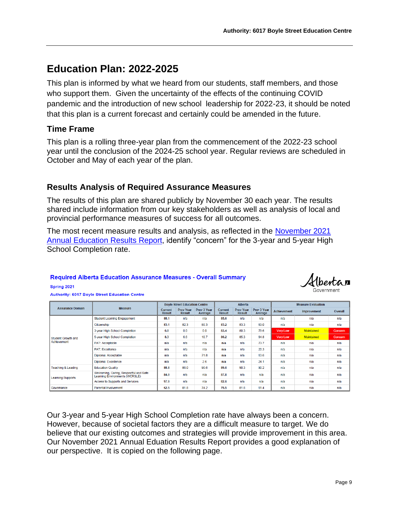# <span id="page-8-0"></span>**Education Plan: 2022-2025**

This plan is informed by what we heard from our students, staff members, and those who support them. Given the uncertainty of the effects of the continuing COVID pandemic and the introduction of new school leadership for 2022-23, it should be noted that this plan is a current forecast and certainly could be amended in the future.

# <span id="page-8-1"></span>**Time Frame**

This plan is a rolling three-year plan from the commencement of the 2022-23 school year until the conclusion of the 2024-25 school year. Regular reviews are scheduled in October and May of each year of the plan.

# <span id="page-8-2"></span>**Results Analysis of Required Assurance Measures**

The results of this plan are shared publicly by November 30 each year. The results shared include information from our key stakeholders as well as analysis of local and provincial performance measures of success for all outcomes.

The most recent measure results and analysis, as reflected in the [November 2021](https://www.bsec.ab.ca/wp-content/uploads/2021/11/November-2021-6017-AERR-Signed.pdf) [Annual Education Results Report,](https://www.bsec.ab.ca/wp-content/uploads/2021/11/November-2021-6017-AERR-Signed.pdf) identify "concern" for the 3-year and 5-year High School Completion rate.

# **Required Alberta Education Assurance Measures - Overall Summary**



**Authority: 6017 Boyle Street Education Centre** 

Spring 2021

|                                   |                                                                          |                                 | <b>Boyle Street Education Centre</b> |                        | <b>Alberta</b>                  |                                   |                        | <b>Measure Evaluation</b> |                    |         |
|-----------------------------------|--------------------------------------------------------------------------|---------------------------------|--------------------------------------|------------------------|---------------------------------|-----------------------------------|------------------------|---------------------------|--------------------|---------|
| <b>Assurance Domain</b>           | <b>Measure</b>                                                           | <b>Current</b><br><b>Result</b> | <b>Prev Year</b><br><b>Result</b>    | Prev 3 Year<br>Average | <b>Current</b><br><b>Result</b> | <b>Prev Year</b><br><b>Result</b> | Prev 3 Year<br>Average | <b>Achievement</b>        | <b>Improvement</b> | Overall |
|                                   | <b>Student Learning Engagement</b>                                       | 88.1                            | n/a                                  | n/a                    | 85.6                            | n/a                               | n/a                    | n/a                       | n/a                | n/a     |
|                                   | Citizenship                                                              | 83.1                            | 82.3                                 | 80.3                   | 83.2                            | 83.3                              | 83.0                   | n/a                       | n/a                | n/a     |
|                                   | 3-year High School Completion                                            | 0.0                             | 0.0                                  | 0.0                    | 83.4                            | 80.3                              | 79.6                   | <b>Very Low</b>           | <b>Maintained</b>  | Concern |
| Student Growth and<br>Achievement | 5-year High School Completion                                            | 8.3                             | 6.6                                  | 10.7                   | 86.2                            | 85.3                              | 84.8                   | <b>Very Low</b>           | <b>Maintained</b>  | Concern |
|                                   | <b>PAT: Acceptable</b>                                                   | n/a                             | n/a                                  | n/a                    | n/a                             | n/a                               | 73.7                   | n/a                       | n/a                | n/a     |
|                                   | <b>PAT: Excellence</b>                                                   | n/a                             | n/a                                  | n/a                    | n/a                             | n/a                               | 20.3                   | n/a                       | n/a                | n/a     |
|                                   | Diploma: Acceptable                                                      | n/a                             | n/a                                  | 71.8                   | n/a                             | n/a                               | 83.6                   | n/a                       | n/a                | n/a     |
|                                   | Diploma: Excellence                                                      | n/a                             | n/a                                  | 2.6                    | n/a                             | n/a                               | 24.1                   | n/a                       | n/a                | n/a     |
| <b>Teaching &amp; Leading</b>     | <b>Education Quality</b>                                                 | 88.8                            | 86.0                                 | 90.6                   | 89.6                            | 90.3                              | 90.2                   | n/a<br>n/a                |                    | n/a     |
| <b>Learning Supports</b>          | Welcoming, Caring, Respectful and Safe<br>Learning Environments (WCRSLE) | 84.0                            | n/a                                  | n/a                    | 87.8                            | n/a                               | n/a                    | n/a                       | n/a                | n/a     |
|                                   | Access to Supports and Services                                          | 97.0                            | n/a                                  | n/a                    | 82.6                            | n/a                               | n/a                    | n/a                       | n/a                | n/a     |
| Governance                        | <b>Parental Involvement</b>                                              | 62.5                            | 81.8                                 | 74.2                   | 79.5                            | 81.8                              | 81.4                   | n/a<br>n/a                |                    | n/a     |

Our 3-year and 5-year High School Completion rate have always been a concern. However, because of societal factors they are a difficult measure to target. We do believe that our existing outcomes and strategies will provide improvement in this area. Our November 2021 Annual Eduation Results Report provides a good explanation of our perspective. It is copied on the following page.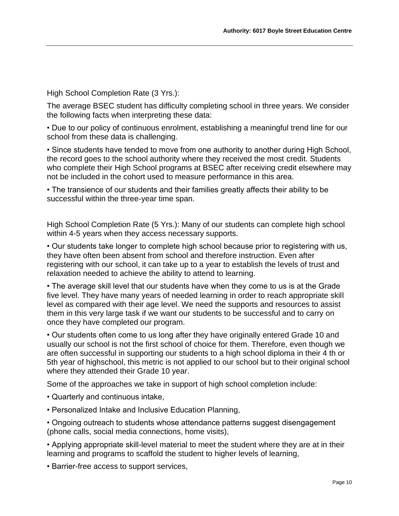High School Completion Rate (3 Yrs.):

The average BSEC student has difficulty completing school in three years. We consider the following facts when interpreting these data:

• Due to our policy of continuous enrolment, establishing a meaningful trend line for our school from these data is challenging.

• Since students have tended to move from one authority to another during High School, the record goes to the school authority where they received the most credit. Students who complete their High School programs at BSEC after receiving credit elsewhere may not be included in the cohort used to measure performance in this area.

• The transience of our students and their families greatly affects their ability to be successful within the three-year time span.

High School Completion Rate (5 Yrs.): Many of our students can complete high school within 4-5 years when they access necessary supports.

• Our students take longer to complete high school because prior to registering with us, they have often been absent from school and therefore instruction. Even after registering with our school, it can take up to a year to establish the levels of trust and relaxation needed to achieve the ability to attend to learning.

• The average skill level that our students have when they come to us is at the Grade five level. They have many years of needed learning in order to reach appropriate skill level as compared with their age level. We need the supports and resources to assist them in this very large task if we want our students to be successful and to carry on once they have completed our program.

• Our students often come to us long after they have originally entered Grade 10 and usually our school is not the first school of choice for them. Therefore, even though we are often successful in supporting our students to a high school diploma in their 4 th or 5th year of highschool, this metric is not applied to our school but to their original school where they attended their Grade 10 year.

Some of the approaches we take in support of high school completion include:

- Quarterly and continuous intake,
- Personalized Intake and Inclusive Education Planning,

• Ongoing outreach to students whose attendance patterns suggest disengagement (phone calls, social media connections, home visits),

• Applying appropriate skill-level material to meet the student where they are at in their learning and programs to scaffold the student to higher levels of learning,

• Barrier-free access to support services,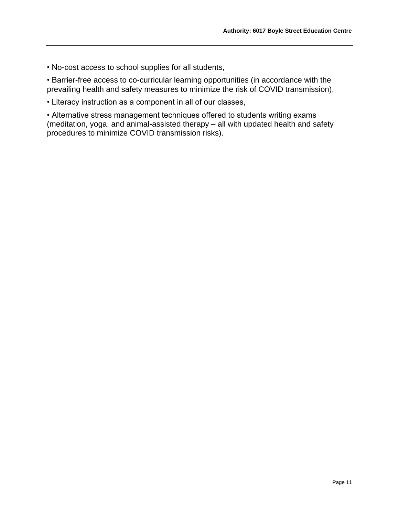• No-cost access to school supplies for all students,

• Barrier-free access to co-curricular learning opportunities (in accordance with the prevailing health and safety measures to minimize the risk of COVID transmission),

• Literacy instruction as a component in all of our classes,

• Alternative stress management techniques offered to students writing exams (meditation, yoga, and animal-assisted therapy – all with updated health and safety procedures to minimize COVID transmission risks).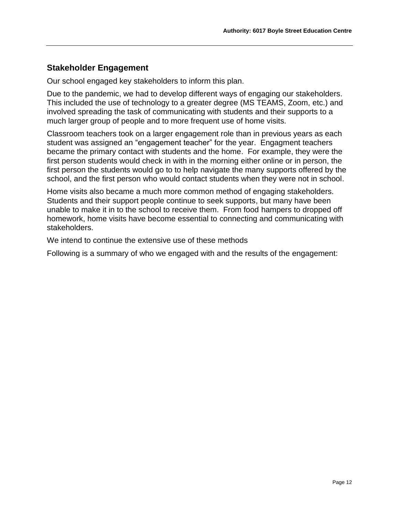# <span id="page-11-0"></span>**Stakeholder Engagement**

Our school engaged key stakeholders to inform this plan.

Due to the pandemic, we had to develop different ways of engaging our stakeholders. This included the use of technology to a greater degree (MS TEAMS, Zoom, etc.) and involved spreading the task of communicating with students and their supports to a much larger group of people and to more frequent use of home visits.

Classroom teachers took on a larger engagement role than in previous years as each student was assigned an "engagement teacher" for the year. Engagment teachers became the primary contact with students and the home. For example, they were the first person students would check in with in the morning either online or in person, the first person the students would go to to help navigate the many supports offered by the school, and the first person who would contact students when they were not in school.

Home visits also became a much more common method of engaging stakeholders. Students and their support people continue to seek supports, but many have been unable to make it in to the school to receive them. From food hampers to dropped off homework, home visits have become essential to connecting and communicating with stakeholders.

We intend to continue the extensive use of these methods

Following is a summary of who we engaged with and the results of the engagement: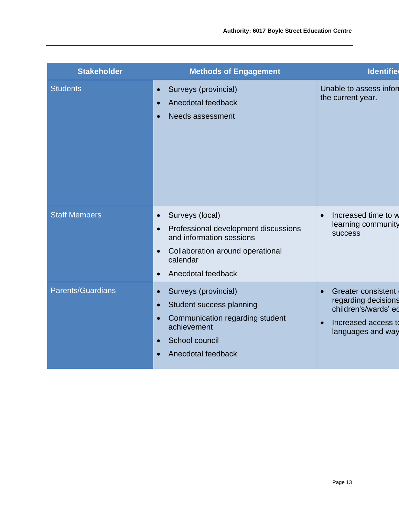| <b>Stakeholder</b>       | <b>Methods of Engagement</b>                                                                                                                                                                                  | <b>Identifie</b>                                                                                                                               |
|--------------------------|---------------------------------------------------------------------------------------------------------------------------------------------------------------------------------------------------------------|------------------------------------------------------------------------------------------------------------------------------------------------|
| <b>Students</b>          | Surveys (provincial)<br>$\bullet$<br>Anecdotal feedback<br>$\bullet$<br>Needs assessment                                                                                                                      | Unable to assess infor<br>the current year.                                                                                                    |
| <b>Staff Members</b>     | Surveys (local)<br>$\bullet$<br>Professional development discussions<br>$\bullet$<br>and information sessions<br>Collaboration around operational<br>$\bullet$<br>calendar<br>Anecdotal feedback<br>$\bullet$ | Increased time to w<br>learning community<br><b>success</b>                                                                                    |
| <b>Parents/Guardians</b> | Surveys (provincial)<br>$\bullet$<br>Student success planning<br>$\bullet$<br>Communication regarding student<br>$\bullet$<br>achievement<br>School council<br>$\bullet$<br>Anecdotal feedback                | <b>Greater consistent</b><br>$\bullet$<br>regarding decisions<br>children's/wards' ed<br>Increased access to<br>$\bullet$<br>languages and way |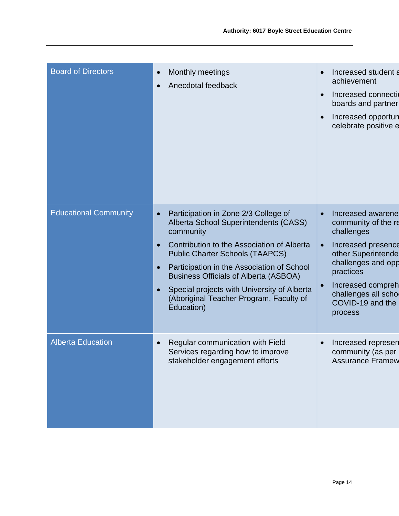| <b>Board of Directors</b>    | Monthly meetings<br>$\bullet$<br>Anecdotal feedback<br>$\bullet$                                                                                                                                                                                                                                                                                                                                                                             | Increased student a<br>achievement<br>Increased connection<br>boards and partner<br>Increased opportun<br>celebrate positive e                                                                                                |
|------------------------------|----------------------------------------------------------------------------------------------------------------------------------------------------------------------------------------------------------------------------------------------------------------------------------------------------------------------------------------------------------------------------------------------------------------------------------------------|-------------------------------------------------------------------------------------------------------------------------------------------------------------------------------------------------------------------------------|
| <b>Educational Community</b> | Participation in Zone 2/3 College of<br>$\bullet$<br>Alberta School Superintendents (CASS)<br>community<br>Contribution to the Association of Alberta<br>$\bullet$<br><b>Public Charter Schools (TAAPCS)</b><br>Participation in the Association of School<br>$\bullet$<br><b>Business Officials of Alberta (ASBOA)</b><br>Special projects with University of Alberta<br>$\bullet$<br>(Aboriginal Teacher Program, Faculty of<br>Education) | Increased awarene<br>$\bullet$<br>community of the re<br>challenges<br>Increased presence<br>other Superintende<br>challenges and opp<br>practices<br>Increased compreh<br>challenges all scho<br>COVID-19 and the<br>process |
| <b>Alberta Education</b>     | Regular communication with Field<br>$\bullet$<br>Services regarding how to improve<br>stakeholder engagement efforts                                                                                                                                                                                                                                                                                                                         | Increased represen<br>community (as per<br><b>Assurance Framew</b>                                                                                                                                                            |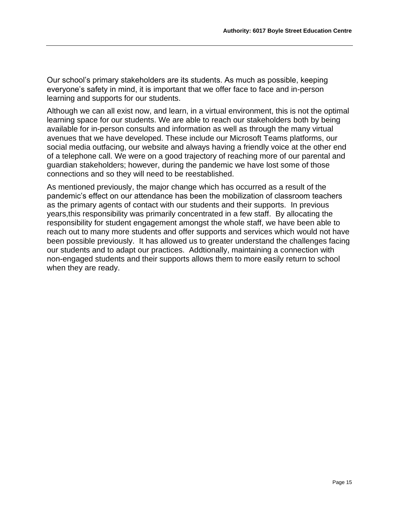Our school's primary stakeholders are its students. As much as possible, keeping everyone's safety in mind, it is important that we offer face to face and in-person learning and supports for our students.

Although we can all exist now, and learn, in a virtual environment, this is not the optimal learning space for our students. We are able to reach our stakeholders both by being available for in-person consults and information as well as through the many virtual avenues that we have developed. These include our Microsoft Teams platforms, our social media outfacing, our website and always having a friendly voice at the other end of a telephone call. We were on a good trajectory of reaching more of our parental and guardian stakeholders; however, during the pandemic we have lost some of those connections and so they will need to be reestablished.

As mentioned previously, the major change which has occurred as a result of the pandemic's effect on our attendance has been the mobilization of classroom teachers as the primary agents of contact with our students and their supports. In previous years,this responsibility was primarily concentrated in a few staff. By allocating the responsibility for student engagement amongst the whole staff, we have been able to reach out to many more students and offer supports and services which would not have been possible previously. It has allowed us to greater understand the challenges facing our students and to adapt our practices. Addtionally, maintaining a connection with non-engaged students and their supports allows them to more easily return to school when they are ready.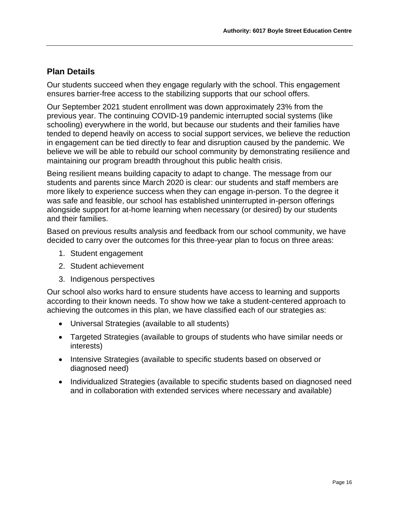# <span id="page-15-0"></span>**Plan Details**

Our students succeed when they engage regularly with the school. This engagement ensures barrier-free access to the stabilizing supports that our school offers.

Our September 2021 student enrollment was down approximately 23% from the previous year. The continuing COVID-19 pandemic interrupted social systems (like schooling) everywhere in the world, but because our students and their families have tended to depend heavily on access to social support services, we believe the reduction in engagement can be tied directly to fear and disruption caused by the pandemic. We believe we will be able to rebuild our school community by demonstrating resilience and maintaining our program breadth throughout this public health crisis.

Being resilient means building capacity to adapt to change. The message from our students and parents since March 2020 is clear: our students and staff members are more likely to experience success when they can engage in-person. To the degree it was safe and feasible, our school has established uninterrupted in-person offerings alongside support for at-home learning when necessary (or desired) by our students and their families.

Based on previous results analysis and feedback from our school community, we have decided to carry over the outcomes for this three-year plan to focus on three areas:

- 1. Student engagement
- 2. Student achievement
- 3. Indigenous perspectives

Our school also works hard to ensure students have access to learning and supports according to their known needs. To show how we take a student-centered approach to achieving the outcomes in this plan, we have classified each of our strategies as:

- Universal Strategies (available to all students)
- Targeted Strategies (available to groups of students who have similar needs or interests)
- Intensive Strategies (available to specific students based on observed or diagnosed need)
- Individualized Strategies (available to specific students based on diagnosed need and in collaboration with extended services where necessary and available)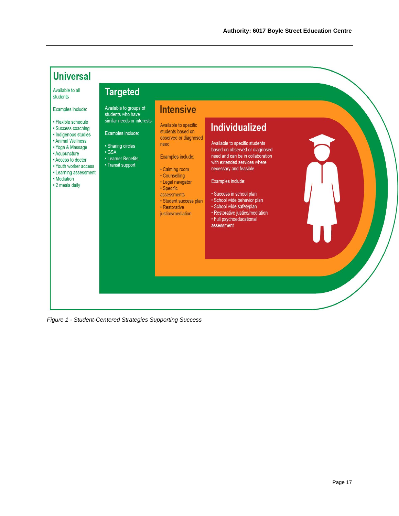

*Figure 1 - Student-Centered Strategies Supporting Success*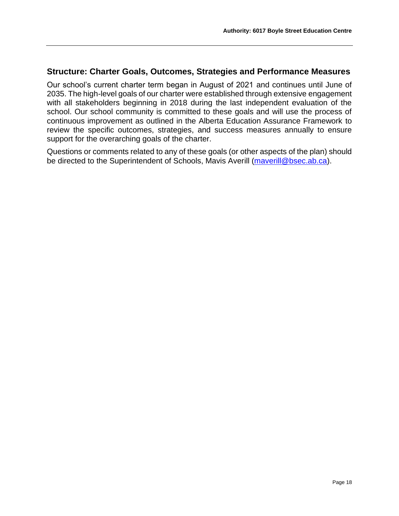# <span id="page-17-0"></span>**Structure: Charter Goals, Outcomes, Strategies and Performance Measures**

Our school's current charter term began in August of 2021 and continues until June of 2035. The high-level goals of our charter were established through extensive engagement with all stakeholders beginning in 2018 during the last independent evaluation of the school. Our school community is committed to these goals and will use the process of continuous improvement as outlined in the Alberta Education Assurance Framework to review the specific outcomes, strategies, and success measures annually to ensure support for the overarching goals of the charter.

Questions or comments related to any of these goals (or other aspects of the plan) should be directed to the Superintendent of Schools, Mavis Averill [\(maverill@bsec.ab.ca\)](mailto:maverill@bsec.ab.ca).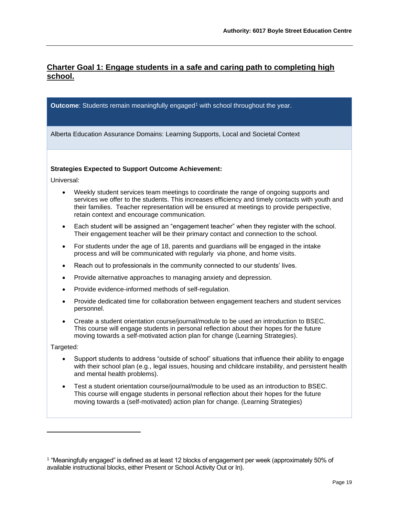# <span id="page-18-0"></span>**Charter Goal 1: Engage students in a safe and caring path to completing high school.**

**Outcome**: Students remain meaningfully engaged<sup>1</sup> with school throughout the year.

Alberta Education Assurance Domains: Learning Supports, Local and Societal Context

#### **Strategies Expected to Support Outcome Achievement:**

Universal:

- Weekly student services team meetings to coordinate the range of ongoing supports and services we offer to the students. This increases efficiency and timely contacts with youth and their families. Teacher representation will be ensured at meetings to provide perspective, retain context and encourage communication.
- Each student will be assigned an "engagement teacher" when they register with the school. Their engagement teacher will be their primary contact and connection to the school.
- For students under the age of 18, parents and guardians will be engaged in the intake process and will be communicated with regularly via phone, and home visits.
- Reach out to professionals in the community connected to our students' lives.
- Provide alternative approaches to managing anxiety and depression.
- Provide evidence-informed methods of self-regulation.
- Provide dedicated time for collaboration between engagement teachers and student services personnel.
- Create a student orientation course/journal/module to be used an introduction to BSEC. This course will engage students in personal reflection about their hopes for the future moving towards a self-motivated action plan for change (Learning Strategies).

Targeted:

- Support students to address "outside of school" situations that influence their ability to engage with their school plan (e.g., legal issues, housing and childcare instability, and persistent health and mental health problems).
- Test a student orientation course/journal/module to be used as an introduction to BSEC. This course will engage students in personal reflection about their hopes for the future moving towards a (self-motivated) action plan for change. (Learning Strategies)

<sup>1</sup> "Meaningfully engaged" is defined as at least 12 blocks of engagement per week (approximately 50% of available instructional blocks, either Present or School Activity Out or In).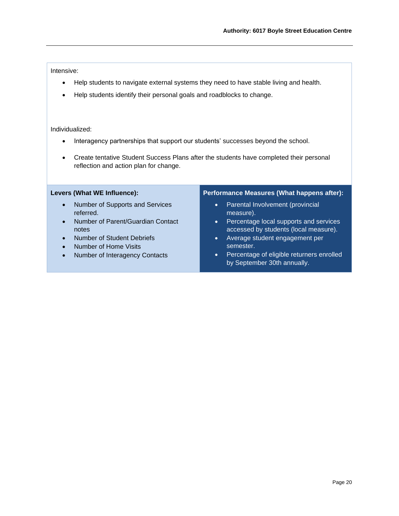#### Intensive:

- Help students to navigate external systems they need to have stable living and health.
- Help students identify their personal goals and roadblocks to change.

#### Individualized:

- Interagency partnerships that support our students' successes beyond the school.
- Create tentative Student Success Plans after the students have completed their personal reflection and action plan for change.

#### **Levers (What WE Influence):**

- Number of Supports and Services referred.
- Number of Parent/Guardian Contact notes
- Number of Student Debriefs
- Number of Home Visits
- Number of Interagency Contacts

- Parental Involvement (provincial measure).
- Percentage local supports and services accessed by students (local measure).
- Average student engagement per semester.
- Percentage of eligible returners enrolled by September 30th annually.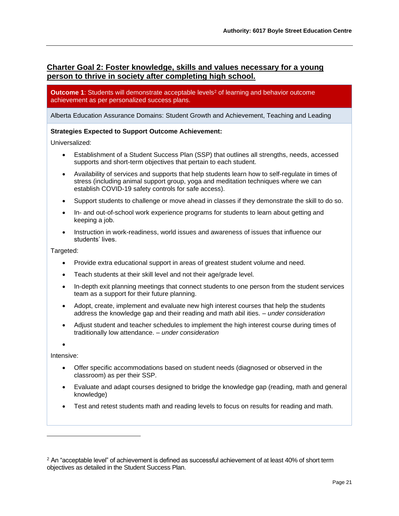# <span id="page-20-0"></span>**Charter Goal 2: Foster knowledge, skills and values necessary for a young person to thrive in society after completing high school.**

**Outcome 1**: Students will demonstrate acceptable levels<sup>2</sup> of learning and behavior outcome achievement as per personalized success plans.

Alberta Education Assurance Domains: Student Growth and Achievement, Teaching and Leading

#### **Strategies Expected to Support Outcome Achievement:**

Universalized:

- Establishment of a Student Success Plan (SSP) that outlines all strengths, needs, accessed supports and short-term objectives that pertain to each student.
- Availability of services and supports that help students learn how to self-regulate in times of stress (including animal support group, yoga and meditation techniques where we can establish COVID-19 safety controls for safe access).
- Support students to challenge or move ahead in classes if they demonstrate the skill to do so.
- In- and out-of-school work experience programs for students to learn about getting and keeping a job.
- Instruction in work-readiness, world issues and awareness of issues that influence our students' lives.

Targeted:

- Provide extra educational support in areas of greatest student volume and need.
- Teach students at their skill level and not their age/grade level.
- In-depth exit planning meetings that connect students to one person from the student services team as a support for their future planning.
- Adopt, create, implement and evaluate new high interest courses that help the students address the knowledge gap and their reading and math abil ities. – *under consideration*
- Adjust student and teacher schedules to implement the high interest course during times of traditionally low attendance. – *under consideration*

•

Intensive:

- Offer specific accommodations based on student needs (diagnosed or observed in the classroom) as per their SSP.
- Evaluate and adapt courses designed to bridge the knowledge gap (reading, math and general knowledge)
- Test and retest students math and reading levels to focus on results for reading and math.

<sup>&</sup>lt;sup>2</sup> An "acceptable level" of achievement is defined as successful achievement of at least 40% of short term objectives as detailed in the Student Success Plan.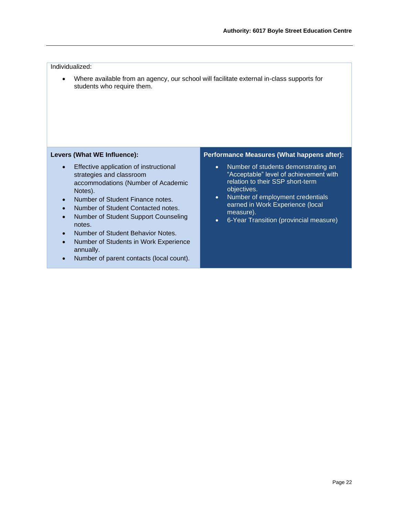#### Individualized:

• Where available from an agency, our school will facilitate external in-class supports for students who require them.

#### **Levers (What WE Influence):**

- Effective application of instructional strategies and classroom accommodations (Number of Academic Notes).
- Number of Student Finance notes.
- Number of Student Contacted notes.
- Number of Student Support Counseling notes.
- Number of Student Behavior Notes.
- Number of Students in Work Experience annually.
- Number of parent contacts (local count).

- Number of students demonstrating an "Acceptable" level of achievement with relation to their SSP short-term objectives.
- Number of employment credentials earned in Work Experience (local measure).
- 6-Year Transition (provincial measure)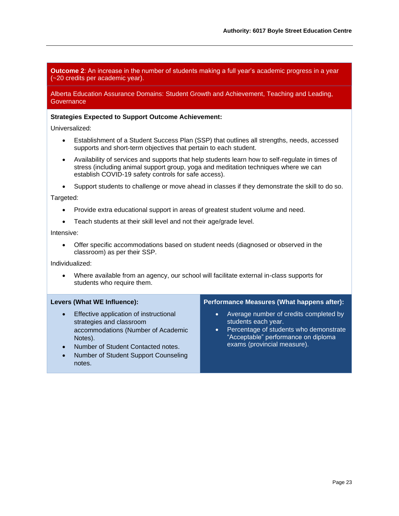**Outcome 2**: An increase in the number of students making a full year's academic progress in a year (~20 credits per academic year).

Alberta Education Assurance Domains: Student Growth and Achievement, Teaching and Leading, **Governance** 

#### **Strategies Expected to Support Outcome Achievement:**

Universalized:

- Establishment of a Student Success Plan (SSP) that outlines all strengths, needs, accessed supports and short-term objectives that pertain to each student.
- Availability of services and supports that help students learn how to self-regulate in times of stress (including animal support group, yoga and meditation techniques where we can establish COVID-19 safety controls for safe access).
- Support students to challenge or move ahead in classes if they demonstrate the skill to do so.

Targeted:

- Provide extra educational support in areas of greatest student volume and need.
- Teach students at their skill level and not their age/grade level.

Intensive:

• Offer specific accommodations based on student needs (diagnosed or observed in the classroom) as per their SSP.

Individualized:

• Where available from an agency, our school will facilitate external in-class supports for students who require them.

#### **Levers (What WE Influence):**

- Effective application of instructional strategies and classroom accommodations (Number of Academic Notes).
- Number of Student Contacted notes.
- Number of Student Support Counseling notes.

- Average number of credits completed by students each year.
- Percentage of students who demonstrate "Acceptable" performance on diploma exams (provincial measure).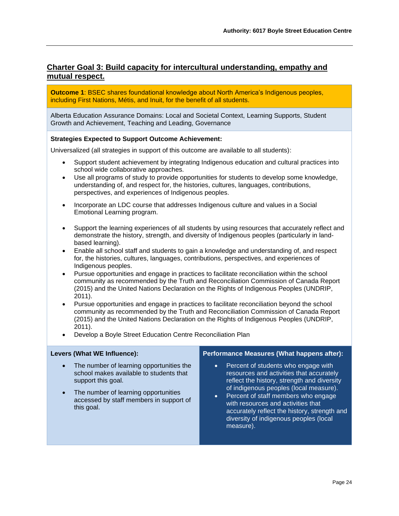# <span id="page-23-0"></span>**Charter Goal 3: Build capacity for intercultural understanding, empathy and mutual respect.**

**Outcome 1**: BSEC shares foundational knowledge about North America's Indigenous peoples, including First Nations, Métis, and Inuit, for the benefit of all students.

Alberta Education Assurance Domains: Local and Societal Context, Learning Supports, Student Growth and Achievement, Teaching and Leading, Governance

#### **Strategies Expected to Support Outcome Achievement:**

Universalized (all strategies in support of this outcome are available to all students):

- Support student achievement by integrating Indigenous education and cultural practices into school wide collaborative approaches.
- Use all programs of study to provide opportunities for students to develop some knowledge, understanding of, and respect for, the histories, cultures, languages, contributions, perspectives, and experiences of Indigenous peoples.
- Incorporate an LDC course that addresses Indigenous culture and values in a Social Emotional Learning program.
- Support the learning experiences of all students by using resources that accurately reflect and demonstrate the history, strength, and diversity of Indigenous peoples (particularly in landbased learning).
- Enable all school staff and students to gain a knowledge and understanding of, and respect for, the histories, cultures, languages, contributions, perspectives, and experiences of Indigenous peoples.
- Pursue opportunities and engage in practices to facilitate reconciliation within the school community as recommended by the Truth and Reconciliation Commission of Canada Report (2015) and the United Nations Declaration on the Rights of Indigenous Peoples (UNDRIP, 2011).
- Pursue opportunities and engage in practices to facilitate reconciliation beyond the school community as recommended by the Truth and Reconciliation Commission of Canada Report (2015) and the United Nations Declaration on the Rights of Indigenous Peoples (UNDRIP, 2011).
- Develop a Boyle Street Education Centre Reconciliation Plan

#### **Levers (What WE Influence):**

- The number of learning opportunities the school makes available to students that support this goal.
- The number of learning opportunities accessed by staff members in support of this goal.

- Percent of students who engage with resources and activities that accurately reflect the history, strength and diversity of indigenous peoples (local measure).
- Percent of staff members who engage with resources and activities that accurately reflect the history, strength and diversity of indigenous peoples (local measure).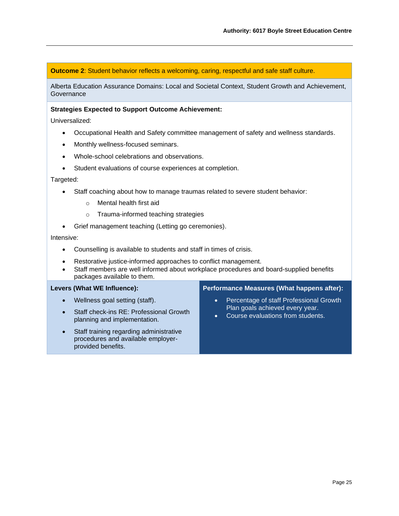**Outcome 2:** Student behavior reflects a welcoming, caring, respectful and safe staff culture.

Alberta Education Assurance Domains: Local and Societal Context, Student Growth and Achievement, **Governance** 

#### **Strategies Expected to Support Outcome Achievement:**

Universalized:

- Occupational Health and Safety committee management of safety and wellness standards.
- Monthly wellness-focused seminars.
- Whole-school celebrations and observations.
- Student evaluations of course experiences at completion.

#### Targeted:

- Staff coaching about how to manage traumas related to severe student behavior:
	- o Mental health first aid
	- o Trauma-informed teaching strategies
- Grief management teaching (Letting go ceremonies).

#### Intensive:

- Counselling is available to students and staff in times of crisis.
- Restorative justice-informed approaches to conflict management.
- Staff members are well informed about workplace procedures and board-supplied benefits packages available to them.

#### **Levers (What WE Influence):**

- Wellness goal setting (staff).
- Staff check-ins RE: Professional Growth planning and implementation.
- Staff training regarding administrative procedures and available employerprovided benefits.

- Percentage of staff Professional Growth Plan goals achieved every year.
- Course evaluations from students.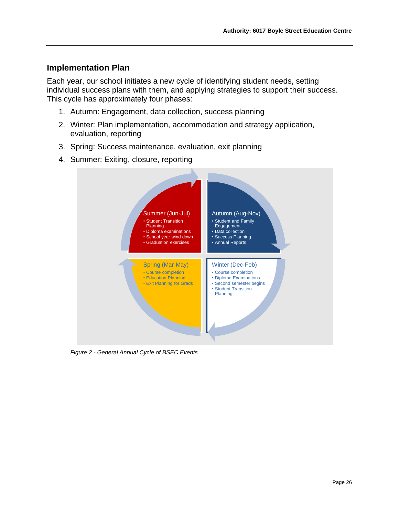# <span id="page-25-0"></span>**Implementation Plan**

Each year, our school initiates a new cycle of identifying student needs, setting individual success plans with them, and applying strategies to support their success. This cycle has approximately four phases:

- 1. Autumn: Engagement, data collection, success planning
- 2. Winter: Plan implementation, accommodation and strategy application, evaluation, reporting
- 3. Spring: Success maintenance, evaluation, exit planning
- 4. Summer: Exiting, closure, reporting



*Figure 2 - General Annual Cycle of BSEC Events*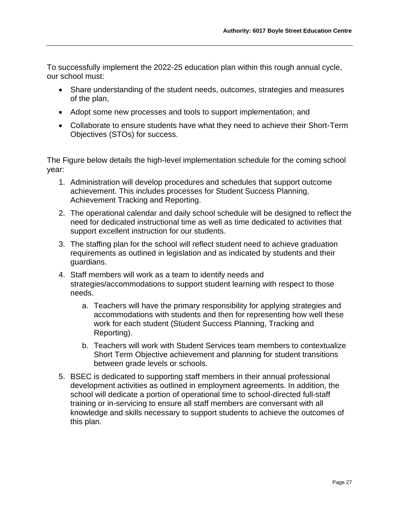To successfully implement the 2022-25 education plan within this rough annual cycle, our school must:

- Share understanding of the student needs, outcomes, strategies and measures of the plan,
- Adopt some new processes and tools to support implementation, and
- Collaborate to ensure students have what they need to achieve their Short-Term Objectives (STOs) for success.

The Figure below details the high-level implementation schedule for the coming school year:

- 1. Administration will develop procedures and schedules that support outcome achievement. This includes processes for Student Success Planning, Achievement Tracking and Reporting.
- 2. The operational calendar and daily school schedule will be designed to reflect the need for dedicated instructional time as well as time dedicated to activities that support excellent instruction for our students.
- 3. The staffing plan for the school will reflect student need to achieve graduation requirements as outlined in legislation and as indicated by students and their guardians.
- 4. Staff members will work as a team to identify needs and strategies/accommodations to support student learning with respect to those needs.
	- a. Teachers will have the primary responsibility for applying strategies and accommodations with students and then for representing how well these work for each student (Student Success Planning, Tracking and Reporting).
	- b. Teachers will work with Student Services team members to contextualize Short Term Objective achievement and planning for student transitions between grade levels or schools.
- 5. BSEC is dedicated to supporting staff members in their annual professional development activities as outlined in employment agreements. In addition, the school will dedicate a portion of operational time to school-directed full-staff training or in-servicing to ensure all staff members are conversant with all knowledge and skills necessary to support students to achieve the outcomes of this plan.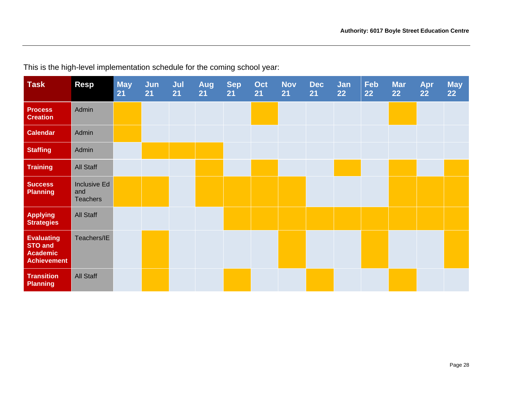| <b>Task</b>                                                                  | <b>Resp</b>                            | <b>May</b><br>21 | Jun<br>21 | Jul<br>21 | Aug<br>21 | <b>Sep</b><br>21 | Oct<br>21 | <b>Nov</b><br>21 | <b>Dec</b><br>21 | Jan<br>22 | <b>Feb</b><br>22 | <b>Mar</b><br>22 | Apr<br>22 | <b>May</b><br>22 |
|------------------------------------------------------------------------------|----------------------------------------|------------------|-----------|-----------|-----------|------------------|-----------|------------------|------------------|-----------|------------------|------------------|-----------|------------------|
| <b>Process</b><br><b>Creation</b>                                            | Admin                                  |                  |           |           |           |                  |           |                  |                  |           |                  |                  |           |                  |
| <b>Calendar</b>                                                              | Admin                                  |                  |           |           |           |                  |           |                  |                  |           |                  |                  |           |                  |
| <b>Staffing</b>                                                              | Admin                                  |                  |           |           |           |                  |           |                  |                  |           |                  |                  |           |                  |
| <b>Training</b>                                                              | <b>All Staff</b>                       |                  |           |           |           |                  |           |                  |                  |           |                  |                  |           |                  |
| <b>Success</b><br><b>Planning</b>                                            | Inclusive Ed<br>and<br><b>Teachers</b> |                  |           |           |           |                  |           |                  |                  |           |                  |                  |           |                  |
| <b>Applying</b><br><b>Strategies</b>                                         | <b>All Staff</b>                       |                  |           |           |           |                  |           |                  |                  |           |                  |                  |           |                  |
| <b>Evaluating</b><br><b>STO and</b><br><b>Academic</b><br><b>Achievement</b> | Teachers/IE                            |                  |           |           |           |                  |           |                  |                  |           |                  |                  |           |                  |
| <b>Transition</b><br>Planning                                                | <b>All Staff</b>                       |                  |           |           |           |                  |           |                  |                  |           |                  |                  |           |                  |

This is the high-level implementation schedule for the coming school year: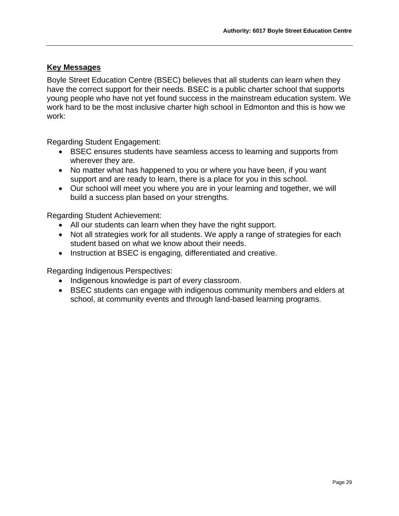## <span id="page-28-0"></span>**Key Messages**

Boyle Street Education Centre (BSEC) believes that all students can learn when they have the correct support for their needs. BSEC is a public charter school that supports young people who have not yet found success in the mainstream education system. We work hard to be the most inclusive charter high school in Edmonton and this is how we work:

Regarding Student Engagement:

- BSEC ensures students have seamless access to learning and supports from wherever they are.
- No matter what has happened to you or where you have been, if you want support and are ready to learn, there is a place for you in this school.
- Our school will meet you where you are in your learning and together, we will build a success plan based on your strengths.

Regarding Student Achievement:

- All our students can learn when they have the right support.
- Not all strategies work for all students. We apply a range of strategies for each student based on what we know about their needs.
- Instruction at BSEC is engaging, differentiated and creative.

Regarding Indigenous Perspectives:

- Indigenous knowledge is part of every classroom.
- BSEC students can engage with indigenous community members and elders at school, at community events and through land-based learning programs.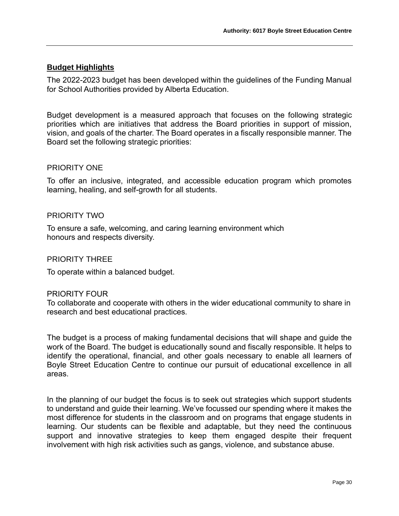## <span id="page-29-0"></span>**Budget Highlights**

The 2022-2023 budget has been developed within the guidelines of the Funding Manual for School Authorities provided by Alberta Education.

Budget development is a measured approach that focuses on the following strategic priorities which are initiatives that address the Board priorities in support of mission, vision, and goals of the charter. The Board operates in a fiscally responsible manner. The Board set the following strategic priorities:

#### PRIORITY ONE

To offer an inclusive, integrated, and accessible education program which promotes learning, healing, and self-growth for all students.

#### PRIORITY TWO

To ensure a safe, welcoming, and caring learning environment which honours and respects diversity.

#### PRIORITY THREE

To operate within a balanced budget.

#### PRIORITY FOUR

To collaborate and cooperate with others in the wider educational community to share in research and best educational practices.

The budget is a process of making fundamental decisions that will shape and guide the work of the Board. The budget is educationally sound and fiscally responsible. It helps to identify the operational, financial, and other goals necessary to enable all learners of Boyle Street Education Centre to continue our pursuit of educational excellence in all areas.

In the planning of our budget the focus is to seek out strategies which support students to understand and guide their learning. We've focussed our spending where it makes the most difference for students in the classroom and on programs that engage students in learning. Our students can be flexible and adaptable, but they need the continuous support and innovative strategies to keep them engaged despite their frequent involvement with high risk activities such as gangs, violence, and substance abuse.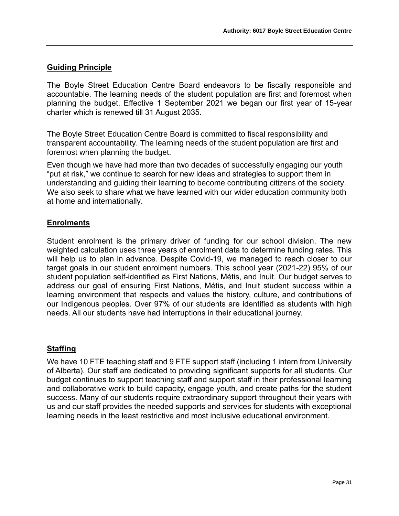# **Guiding Principle**

The Boyle Street Education Centre Board endeavors to be fiscally responsible and accountable. The learning needs of the student population are first and foremost when planning the budget. Effective 1 September 2021 we began our first year of 15-year charter which is renewed till 31 August 2035.

The Boyle Street Education Centre Board is committed to fiscal responsibility and transparent accountability. The learning needs of the student population are first and foremost when planning the budget.

Even though we have had more than two decades of successfully engaging our youth "put at risk," we continue to search for new ideas and strategies to support them in understanding and guiding their learning to become contributing citizens of the society. We also seek to share what we have learned with our wider education community both at home and internationally.

# **Enrolments**

Student enrolment is the primary driver of funding for our school division. The new weighted calculation uses three years of enrolment data to determine funding rates. This will help us to plan in advance. Despite Covid-19, we managed to reach closer to our target goals in our student enrolment numbers. This school year (2021-22) 95% of our student population self-identified as First Nations, Métis, and Inuit. Our budget serves to address our goal of ensuring First Nations, Métis, and Inuit student success within a learning environment that respects and values the history, culture, and contributions of our Indigenous peoples. Over 97% of our students are identified as students with high needs. All our students have had interruptions in their educational journey.

# **Staffing**

We have 10 FTE teaching staff and 9 FTE support staff (including 1 intern from University of Alberta). Our staff are dedicated to providing significant supports for all students. Our budget continues to support teaching staff and support staff in their professional learning and collaborative work to build capacity, engage youth, and create paths for the student success. Many of our students require extraordinary support throughout their years with us and our staff provides the needed supports and services for students with exceptional learning needs in the least restrictive and most inclusive educational environment.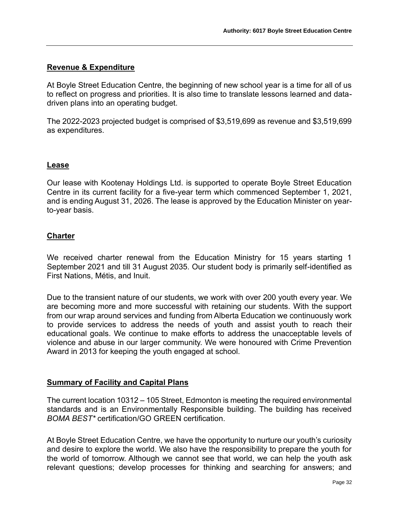### **Revenue & Expenditure**

At Boyle Street Education Centre, the beginning of new school year is a time for all of us to reflect on progress and priorities. It is also time to translate lessons learned and datadriven plans into an operating budget.

The 2022-2023 projected budget is comprised of \$3,519,699 as revenue and \$3,519,699 as expenditures.

### **Lease**

Our lease with Kootenay Holdings Ltd. is supported to operate Boyle Street Education Centre in its current facility for a five-year term which commenced September 1, 2021, and is ending August 31, 2026. The lease is approved by the Education Minister on yearto-year basis.

### **Charter**

We received charter renewal from the Education Ministry for 15 years starting 1 September 2021 and till 31 August 2035. Our student body is primarily self-identified as First Nations, Métis, and Inuit.

Due to the transient nature of our students, we work with over 200 youth every year. We are becoming more and more successful with retaining our students. With the support from our wrap around services and funding from Alberta Education we continuously work to provide services to address the needs of youth and assist youth to reach their educational goals. We continue to make efforts to address the unacceptable levels of violence and abuse in our larger community. We were honoured with Crime Prevention Award in 2013 for keeping the youth engaged at school.

### **Summary of Facility and Capital Plans**

The current location 10312 – 105 Street, Edmonton is meeting the required environmental standards and is an Environmentally Responsible building. The building has received *BOMA BEST\** certification/GO GREEN certification.

At Boyle Street Education Centre, we have the opportunity to nurture our youth's curiosity and desire to explore the world. We also have the responsibility to prepare the youth for the world of tomorrow. Although we cannot see that world, we can help the youth ask relevant questions; develop processes for thinking and searching for answers; and